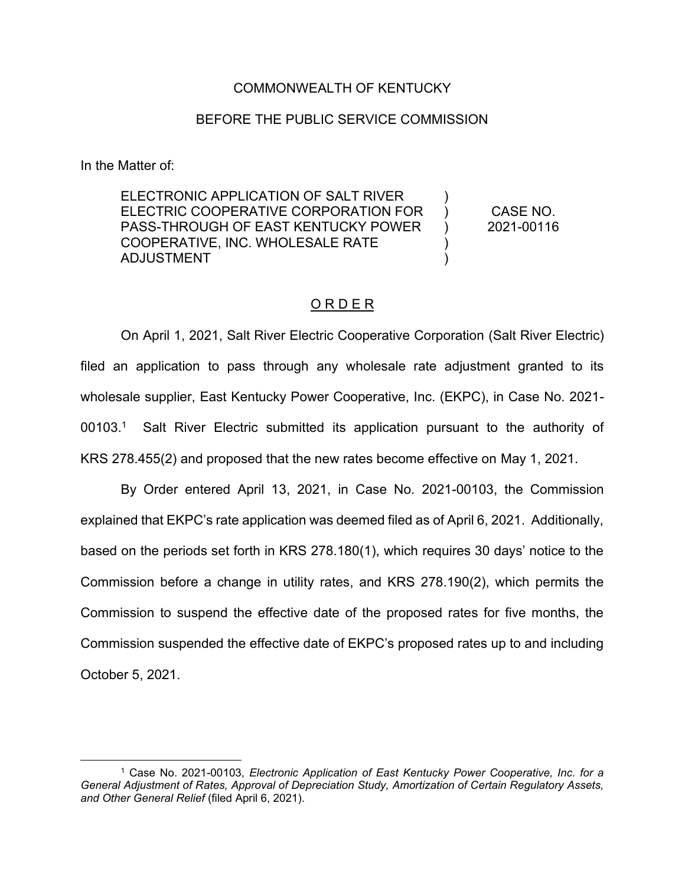### COMMONWEALTH OF KENTUCKY

#### BEFORE THE PUBLIC SERVICE COMMISSION

In the Matter of:

ELECTRONIC APPLICATION OF SALT RIVER ELECTRIC COOPERATIVE CORPORATION FOR PASS-THROUGH OF EAST KENTUCKY POWER COOPERATIVE, INC. WHOLESALE RATE ADJUSTMENT )  $\lambda$  $\mathcal{L}$ ) )

CASE NO. 2021-00116

### O R D E R

On April 1, 2021, Salt River Electric Cooperative Corporation (Salt River Electric) filed an application to pass through any wholesale rate adjustment granted to its wholesale supplier, East Kentucky Power Cooperative, Inc. (EKPC), in Case No. 2021- 00103.1 Salt River Electric submitted its application pursuant to the authority of KRS 278.455(2) and proposed that the new rates become effective on May 1, 2021.

By Order entered April 13, 2021, in Case No. 2021-00103, the Commission explained that EKPC's rate application was deemed filed as of April 6, 2021. Additionally, based on the periods set forth in KRS 278.180(1), which requires 30 days' notice to the Commission before a change in utility rates, and KRS 278.190(2), which permits the Commission to suspend the effective date of the proposed rates for five months, the Commission suspended the effective date of EKPC's proposed rates up to and including October 5, 2021.

<sup>1</sup> Case No. 2021-00103, *Electronic Application of East Kentucky Power Cooperative, Inc. for a General Adjustment of Rates, Approval of Depreciation Study, Amortization of Certain Regulatory Assets, and Other General Relief* (filed April 6, 2021).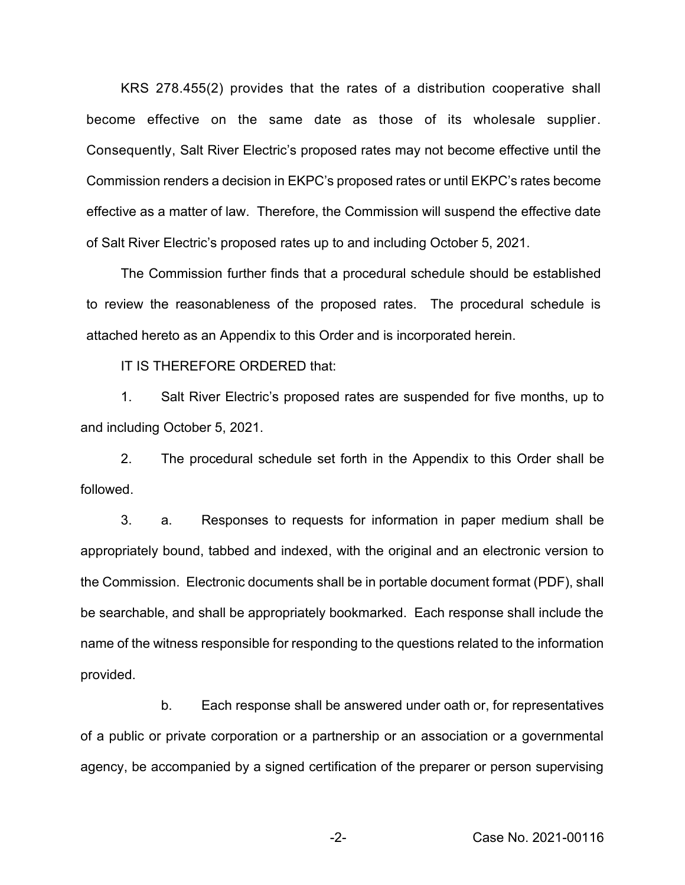KRS 278.455(2) provides that the rates of a distribution cooperative shall become effective on the same date as those of its wholesale supplier. Consequently, Salt River Electric's proposed rates may not become effective until the Commission renders a decision in EKPC's proposed rates or until EKPC's rates become effective as a matter of law. Therefore, the Commission will suspend the effective date of Salt River Electric's proposed rates up to and including October 5, 2021.

The Commission further finds that a procedural schedule should be established to review the reasonableness of the proposed rates. The procedural schedule is attached hereto as an Appendix to this Order and is incorporated herein.

IT IS THEREFORE ORDERED that:

1. Salt River Electric's proposed rates are suspended for five months, up to and including October 5, 2021.

2. The procedural schedule set forth in the Appendix to this Order shall be followed.

3. a. Responses to requests for information in paper medium shall be appropriately bound, tabbed and indexed, with the original and an electronic version to the Commission. Electronic documents shall be in portable document format (PDF), shall be searchable, and shall be appropriately bookmarked. Each response shall include the name of the witness responsible for responding to the questions related to the information provided.

b. Each response shall be answered under oath or, for representatives of a public or private corporation or a partnership or an association or a governmental agency, be accompanied by a signed certification of the preparer or person supervising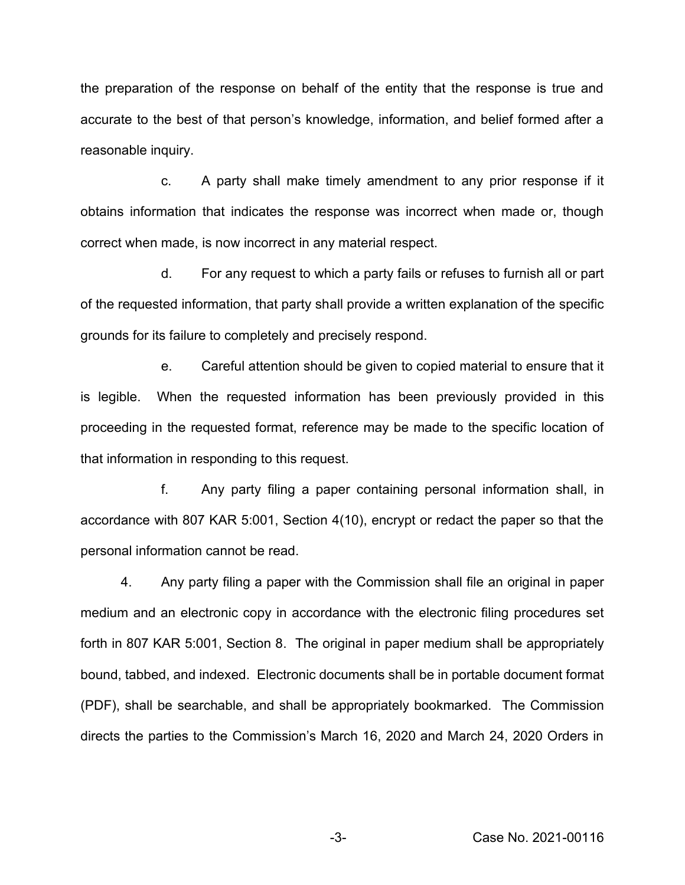the preparation of the response on behalf of the entity that the response is true and accurate to the best of that person's knowledge, information, and belief formed after a reasonable inquiry.

c. A party shall make timely amendment to any prior response if it obtains information that indicates the response was incorrect when made or, though correct when made, is now incorrect in any material respect.

d. For any request to which a party fails or refuses to furnish all or part of the requested information, that party shall provide a written explanation of the specific grounds for its failure to completely and precisely respond.

e. Careful attention should be given to copied material to ensure that it is legible. When the requested information has been previously provided in this proceeding in the requested format, reference may be made to the specific location of that information in responding to this request.

f. Any party filing a paper containing personal information shall, in accordance with 807 KAR 5:001, Section 4(10), encrypt or redact the paper so that the personal information cannot be read.

4. Any party filing a paper with the Commission shall file an original in paper medium and an electronic copy in accordance with the electronic filing procedures set forth in 807 KAR 5:001, Section 8. The original in paper medium shall be appropriately bound, tabbed, and indexed. Electronic documents shall be in portable document format (PDF), shall be searchable, and shall be appropriately bookmarked. The Commission directs the parties to the Commission's March 16, 2020 and March 24, 2020 Orders in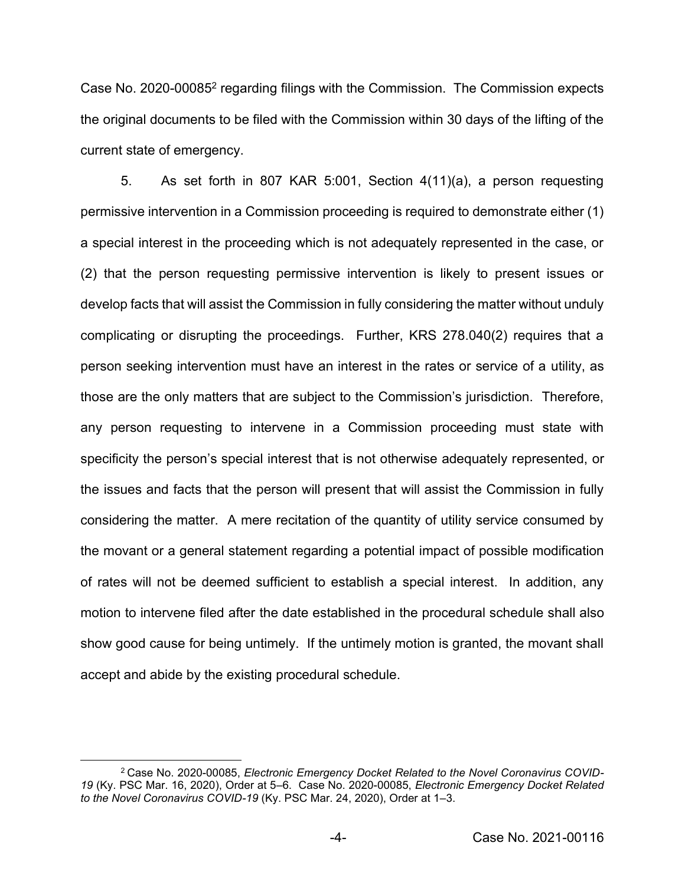Case No. 2020-000852 regarding filings with the Commission. The Commission expects the original documents to be filed with the Commission within 30 days of the lifting of the current state of emergency.

5. As set forth in 807 KAR 5:001, Section 4(11)(a), a person requesting permissive intervention in a Commission proceeding is required to demonstrate either (1) a special interest in the proceeding which is not adequately represented in the case, or (2) that the person requesting permissive intervention is likely to present issues or develop facts that will assist the Commission in fully considering the matter without unduly complicating or disrupting the proceedings. Further, KRS 278.040(2) requires that a person seeking intervention must have an interest in the rates or service of a utility, as those are the only matters that are subject to the Commission's jurisdiction. Therefore, any person requesting to intervene in a Commission proceeding must state with specificity the person's special interest that is not otherwise adequately represented, or the issues and facts that the person will present that will assist the Commission in fully considering the matter. A mere recitation of the quantity of utility service consumed by the movant or a general statement regarding a potential impact of possible modification of rates will not be deemed sufficient to establish a special interest. In addition, any motion to intervene filed after the date established in the procedural schedule shall also show good cause for being untimely. If the untimely motion is granted, the movant shall accept and abide by the existing procedural schedule.

<sup>2</sup> Case No. 2020-00085, *Electronic Emergency Docket Related to the Novel Coronavirus COVID-19* (Ky. PSC Mar. 16, 2020), Order at 5–6. Case No. 2020-00085, *Electronic Emergency Docket Related to the Novel Coronavirus COVID-19* (Ky. PSC Mar. 24, 2020), Order at 1–3.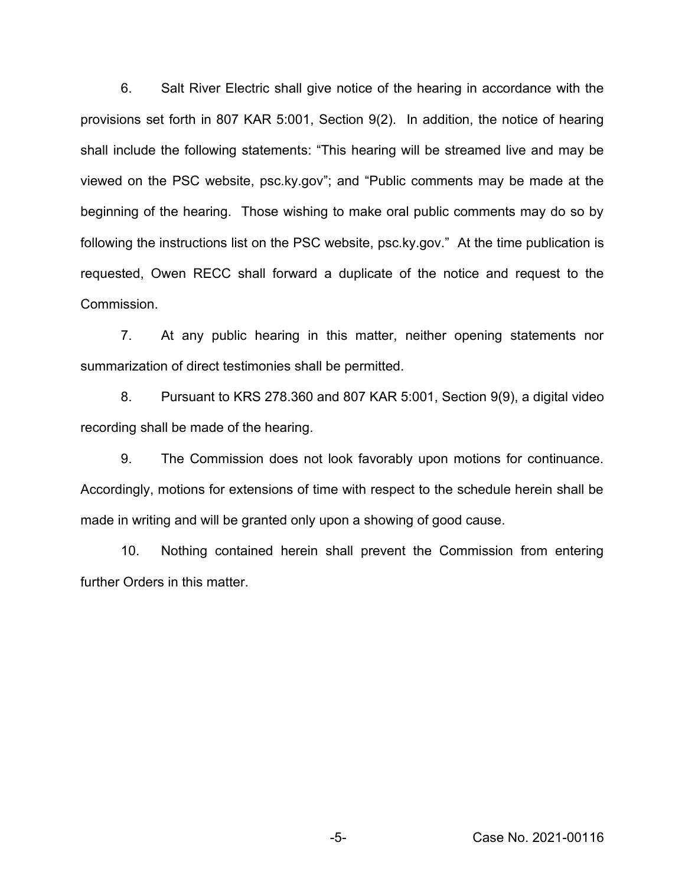6. Salt River Electric shall give notice of the hearing in accordance with the provisions set forth in 807 KAR 5:001, Section 9(2). In addition, the notice of hearing shall include the following statements: "This hearing will be streamed live and may be viewed on the PSC website, psc.ky.gov"; and "Public comments may be made at the beginning of the hearing. Those wishing to make oral public comments may do so by following the instructions list on the PSC website, psc.ky.gov." At the time publication is requested, Owen RECC shall forward a duplicate of the notice and request to the Commission.

7. At any public hearing in this matter, neither opening statements nor summarization of direct testimonies shall be permitted.

8. Pursuant to KRS 278.360 and 807 KAR 5:001, Section 9(9), a digital video recording shall be made of the hearing.

9. The Commission does not look favorably upon motions for continuance. Accordingly, motions for extensions of time with respect to the schedule herein shall be made in writing and will be granted only upon a showing of good cause.

10. Nothing contained herein shall prevent the Commission from entering further Orders in this matter.

-5- Case No. 2021-00116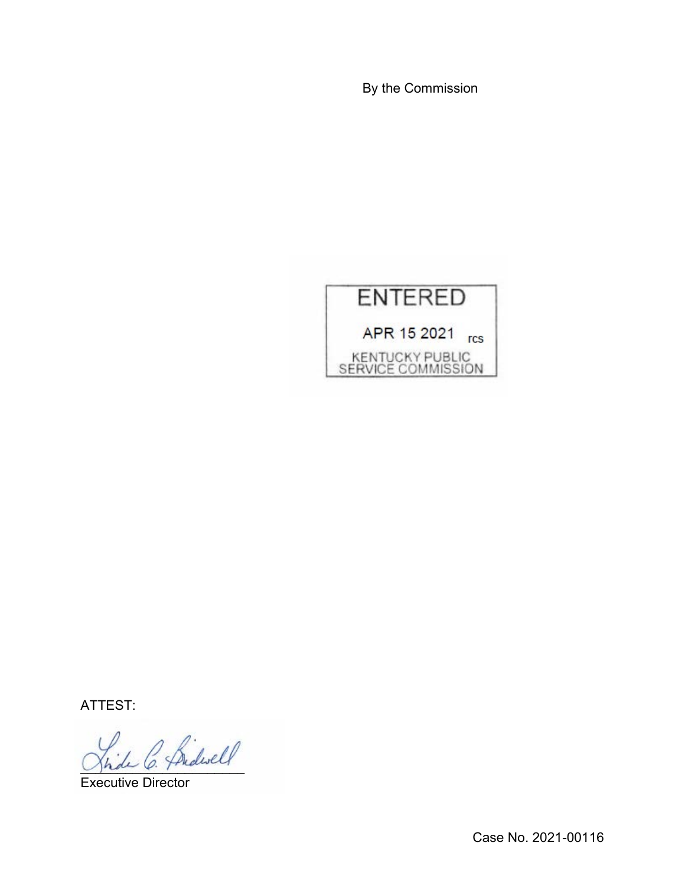By the Commission



ATTEST:

\_\_\_\_\_\_\_\_\_\_\_\_\_\_\_\_\_\_\_\_\_\_

Executive Director

Case No. 2021-00116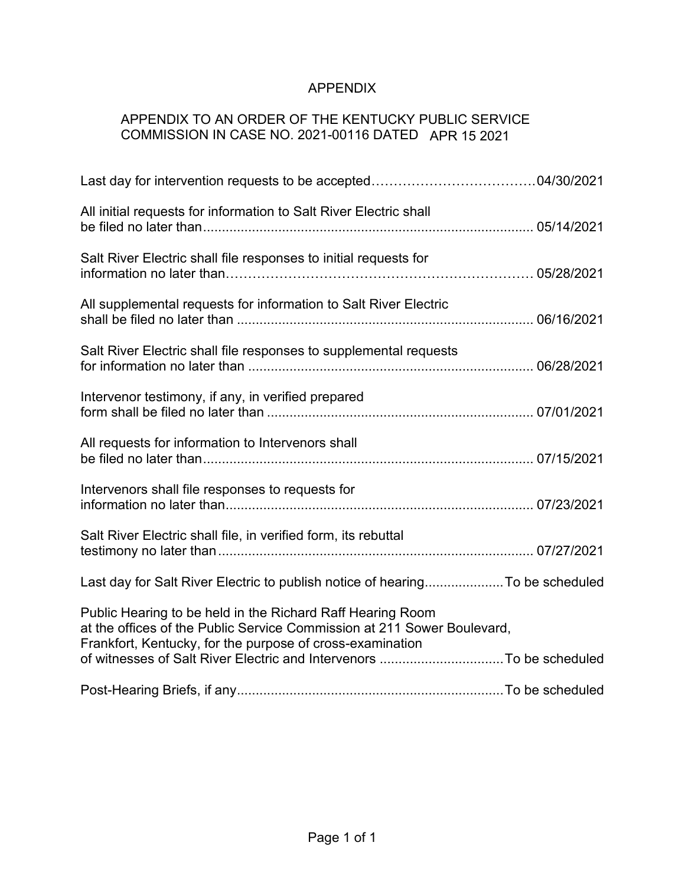# APPENDIX

# APPENDIX TO AN ORDER OF THE KENTUCKY PUBLIC SERVICE COMMISSION IN CASE NO. 2021-00116 DATED APR 15 2021

| All initial requests for information to Salt River Electric shall                                                                                                                                  |  |
|----------------------------------------------------------------------------------------------------------------------------------------------------------------------------------------------------|--|
| Salt River Electric shall file responses to initial requests for                                                                                                                                   |  |
| All supplemental requests for information to Salt River Electric                                                                                                                                   |  |
| Salt River Electric shall file responses to supplemental requests                                                                                                                                  |  |
| Intervenor testimony, if any, in verified prepared                                                                                                                                                 |  |
| All requests for information to Intervenors shall                                                                                                                                                  |  |
| Intervenors shall file responses to requests for                                                                                                                                                   |  |
| Salt River Electric shall file, in verified form, its rebuttal                                                                                                                                     |  |
| Last day for Salt River Electric to publish notice of hearingTo be scheduled                                                                                                                       |  |
| Public Hearing to be held in the Richard Raff Hearing Room<br>at the offices of the Public Service Commission at 211 Sower Boulevard,<br>Frankfort, Kentucky, for the purpose of cross-examination |  |
|                                                                                                                                                                                                    |  |